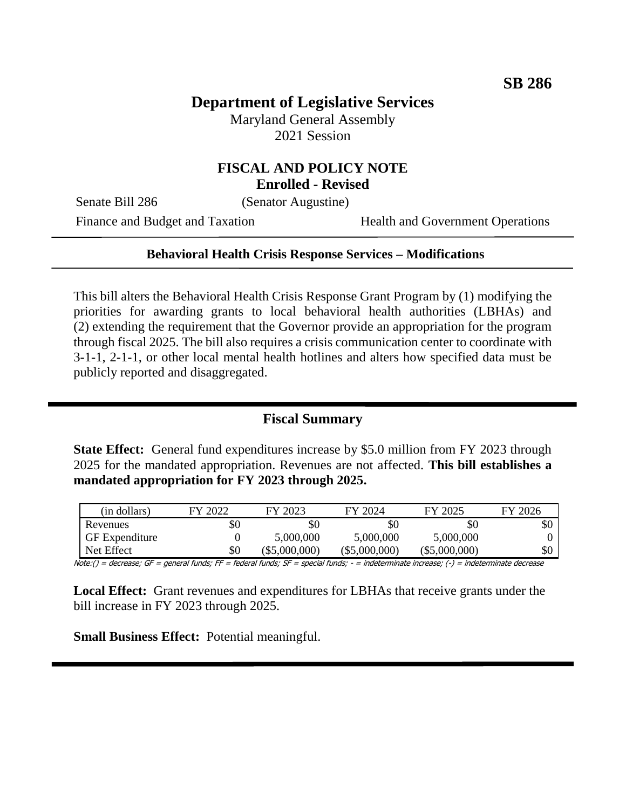# **Department of Legislative Services**

Maryland General Assembly 2021 Session

# **FISCAL AND POLICY NOTE**

**Enrolled - Revised**

Senate Bill 286 (Senator Augustine)

Finance and Budget and Taxation Health and Government Operations

#### **Behavioral Health Crisis Response Services – Modifications**

This bill alters the Behavioral Health Crisis Response Grant Program by (1) modifying the priorities for awarding grants to local behavioral health authorities (LBHAs) and (2) extending the requirement that the Governor provide an appropriation for the program through fiscal 2025. The bill also requires a crisis communication center to coordinate with 3-1-1, 2-1-1, or other local mental health hotlines and alters how specified data must be publicly reported and disaggregated.

## **Fiscal Summary**

**State Effect:** General fund expenditures increase by \$5.0 million from FY 2023 through 2025 for the mandated appropriation. Revenues are not affected. **This bill establishes a mandated appropriation for FY 2023 through 2025.**

| (in dollars)          | FY 2022 | FY 2023         | FY 2024         | FY 2025         | FY 2026 |
|-----------------------|---------|-----------------|-----------------|-----------------|---------|
| Revenues              | \$0     | \$0             | \$0             | \$0             | \$0     |
| <b>GF</b> Expenditure |         | 5,000,000       | 5,000,000       | 5,000,000       |         |
| Net Effect            | \$0     | $(\$5,000,000)$ | $(\$5,000,000)$ | $(\$5,000,000)$ | \$0     |

Note:() = decrease; GF = general funds; FF = federal funds; SF = special funds; - = indeterminate increase; (-) = indeterminate decrease

**Local Effect:** Grant revenues and expenditures for LBHAs that receive grants under the bill increase in FY 2023 through 2025.

**Small Business Effect:** Potential meaningful.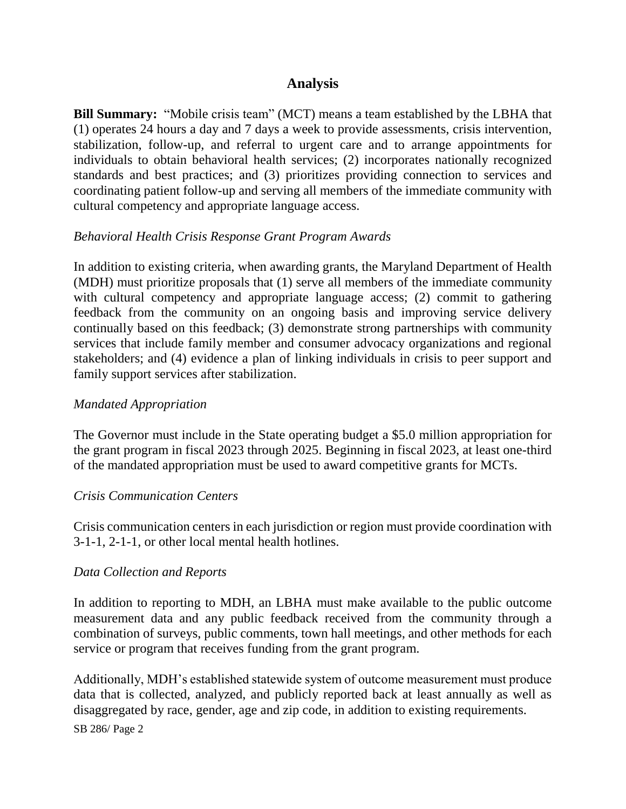## **Analysis**

**Bill Summary:** "Mobile crisis team" (MCT) means a team established by the LBHA that (1) operates 24 hours a day and 7 days a week to provide assessments, crisis intervention, stabilization, follow-up, and referral to urgent care and to arrange appointments for individuals to obtain behavioral health services; (2) incorporates nationally recognized standards and best practices; and (3) prioritizes providing connection to services and coordinating patient follow-up and serving all members of the immediate community with cultural competency and appropriate language access.

#### *Behavioral Health Crisis Response Grant Program Awards*

In addition to existing criteria, when awarding grants, the Maryland Department of Health (MDH) must prioritize proposals that (1) serve all members of the immediate community with cultural competency and appropriate language access; (2) commit to gathering feedback from the community on an ongoing basis and improving service delivery continually based on this feedback; (3) demonstrate strong partnerships with community services that include family member and consumer advocacy organizations and regional stakeholders; and (4) evidence a plan of linking individuals in crisis to peer support and family support services after stabilization.

#### *Mandated Appropriation*

The Governor must include in the State operating budget a \$5.0 million appropriation for the grant program in fiscal 2023 through 2025. Beginning in fiscal 2023, at least one-third of the mandated appropriation must be used to award competitive grants for MCTs.

#### *Crisis Communication Centers*

Crisis communication centers in each jurisdiction or region must provide coordination with 3-1-1, 2-1-1, or other local mental health hotlines.

#### *Data Collection and Reports*

In addition to reporting to MDH, an LBHA must make available to the public outcome measurement data and any public feedback received from the community through a combination of surveys, public comments, town hall meetings, and other methods for each service or program that receives funding from the grant program.

Additionally, MDH's established statewide system of outcome measurement must produce data that is collected, analyzed, and publicly reported back at least annually as well as disaggregated by race, gender, age and zip code, in addition to existing requirements.

SB 286/ Page 2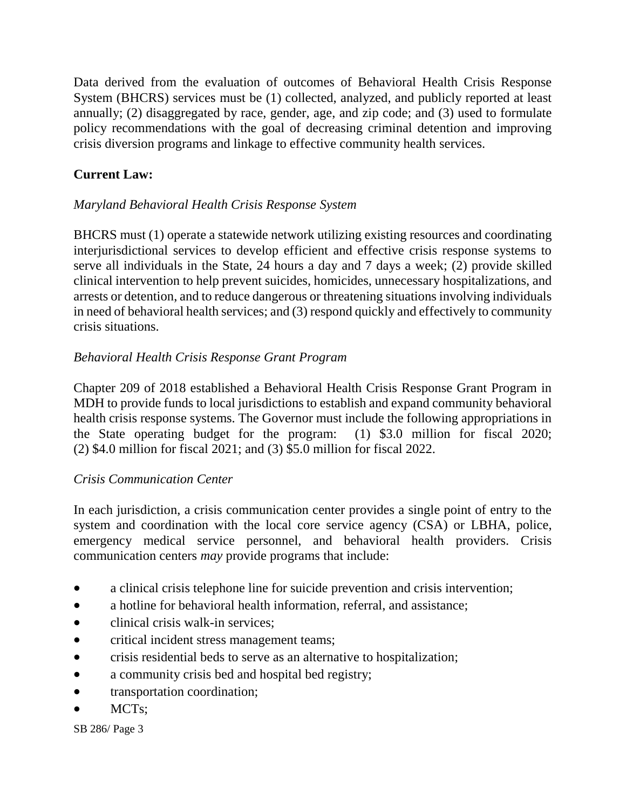Data derived from the evaluation of outcomes of Behavioral Health Crisis Response System (BHCRS) services must be (1) collected, analyzed, and publicly reported at least annually; (2) disaggregated by race, gender, age, and zip code; and (3) used to formulate policy recommendations with the goal of decreasing criminal detention and improving crisis diversion programs and linkage to effective community health services.

# **Current Law:**

# *Maryland Behavioral Health Crisis Response System*

BHCRS must (1) operate a statewide network utilizing existing resources and coordinating interjurisdictional services to develop efficient and effective crisis response systems to serve all individuals in the State, 24 hours a day and 7 days a week; (2) provide skilled clinical intervention to help prevent suicides, homicides, unnecessary hospitalizations, and arrests or detention, and to reduce dangerous or threatening situations involving individuals in need of behavioral health services; and (3) respond quickly and effectively to community crisis situations.

## *Behavioral Health Crisis Response Grant Program*

Chapter 209 of 2018 established a Behavioral Health Crisis Response Grant Program in MDH to provide funds to local jurisdictions to establish and expand community behavioral health crisis response systems. The Governor must include the following appropriations in the State operating budget for the program: (1) \$3.0 million for fiscal 2020; (2) \$4.0 million for fiscal 2021; and (3) \$5.0 million for fiscal 2022.

## *Crisis Communication Center*

In each jurisdiction, a crisis communication center provides a single point of entry to the system and coordination with the local core service agency (CSA) or LBHA, police, emergency medical service personnel, and behavioral health providers. Crisis communication centers *may* provide programs that include:

- a clinical crisis telephone line for suicide prevention and crisis intervention;
- a hotline for behavioral health information, referral, and assistance;
- clinical crisis walk-in services;
- critical incident stress management teams;
- crisis residential beds to serve as an alternative to hospitalization;
- a community crisis bed and hospital bed registry;
- transportation coordination;
- $\bullet$  MCTs:

SB 286/ Page 3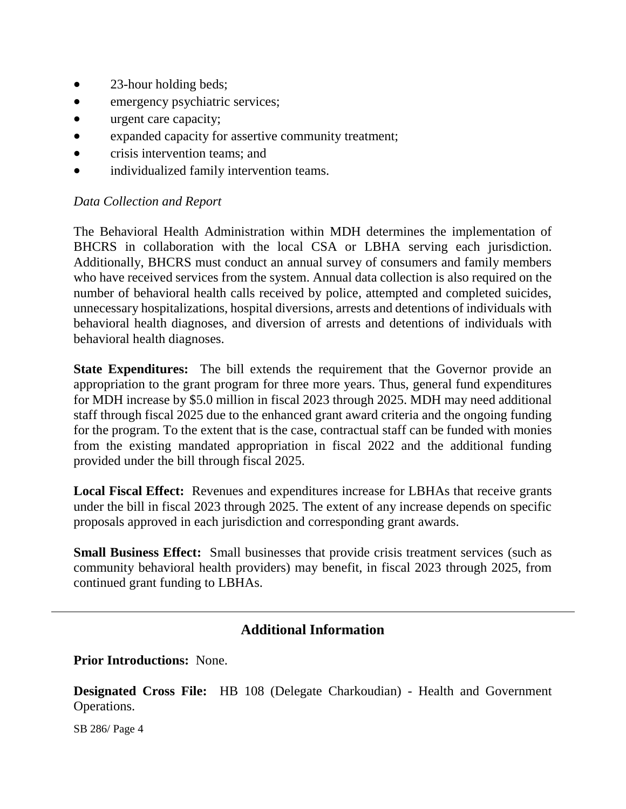- 23-hour holding beds;
- emergency psychiatric services;
- urgent care capacity;
- expanded capacity for assertive community treatment;
- crisis intervention teams; and
- individualized family intervention teams.

## *Data Collection and Report*

The Behavioral Health Administration within MDH determines the implementation of BHCRS in collaboration with the local CSA or LBHA serving each jurisdiction. Additionally, BHCRS must conduct an annual survey of consumers and family members who have received services from the system. Annual data collection is also required on the number of behavioral health calls received by police, attempted and completed suicides, unnecessary hospitalizations, hospital diversions, arrests and detentions of individuals with behavioral health diagnoses, and diversion of arrests and detentions of individuals with behavioral health diagnoses.

**State Expenditures:** The bill extends the requirement that the Governor provide an appropriation to the grant program for three more years. Thus, general fund expenditures for MDH increase by \$5.0 million in fiscal 2023 through 2025. MDH may need additional staff through fiscal 2025 due to the enhanced grant award criteria and the ongoing funding for the program. To the extent that is the case, contractual staff can be funded with monies from the existing mandated appropriation in fiscal 2022 and the additional funding provided under the bill through fiscal 2025.

**Local Fiscal Effect:** Revenues and expenditures increase for LBHAs that receive grants under the bill in fiscal 2023 through 2025. The extent of any increase depends on specific proposals approved in each jurisdiction and corresponding grant awards.

**Small Business Effect:** Small businesses that provide crisis treatment services (such as community behavioral health providers) may benefit, in fiscal 2023 through 2025, from continued grant funding to LBHAs.

# **Additional Information**

**Prior Introductions:** None.

**Designated Cross File:** HB 108 (Delegate Charkoudian) - Health and Government Operations.

SB 286/ Page 4